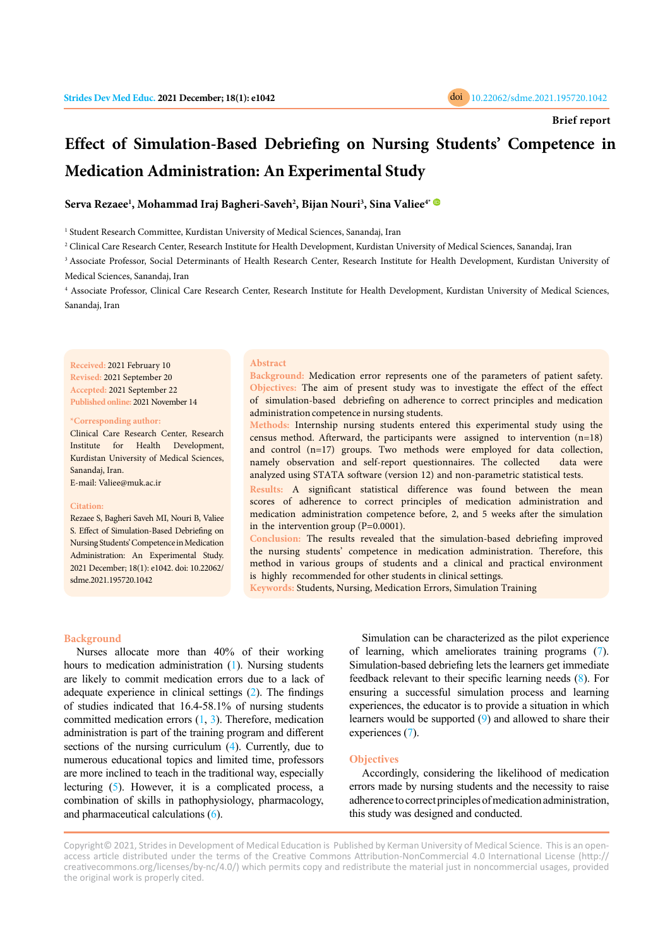

# **Effect of Simulation-Based Debriefing on Nursing Students' Competence in Medication Administration: An Experimental Study**

# **Serva Rezaee<sup>1</sup> , Mohammad Iraj Bagheri-Saveh<sup>2</sup> , Bijan Nouri<sup>3</sup> , Sina Valiee4\***

<sup>1</sup> Student Research Committee, Kurdistan University of Medical Sciences, Sanandaj, Iran

2 Clinical Care Research Center, Research Institute for Health Development, Kurdistan University of Medical Sciences, Sanandaj, Iran

<sup>3</sup> Associate Professor, Social Determinants of Health Research Center, Research Institute for Health Development, Kurdistan University of Medical Sciences, Sanandaj, Iran

4 Associate Professor, Clinical Care Research Center, Research Institute for Health Development, Kurdistan University of Medical Sciences, Sanandaj, Iran

**Received:** 2021 February 10 **Revised:** 2021 September 20 **Accepted:** 2021 September 22 **Published online:** 2021 November 14

#### **\*Corresponding author:**

Clinical Care Research Center, Research Institute for Health Development, Kurdistan University of Medical Sciences, Sanandaj, Iran. E-mail: Valiee@muk.ac.ir

#### **Citation:**

Rezaee S, Bagheri Saveh MI, Nouri B, Valiee S. Effect of Simulation-Based Debriefing on Nursing Students' Competence in Medication Administration: An Experimental Study. 2021 December; 18(1): e1042. doi: 10.22062/ sdme.2021.195720.1042

#### **Abstract**

**Background:** Medication error represents one of the parameters of patient safety. **Objectives:** The aim of present study was to investigate the effect of the effect of simulation-based debriefing on adherence to correct principles and medication administration competence in nursing students.

**Methods:** Internship nursing students entered this experimental study using the census method. Afterward, the participants were assigned to intervention (n=18) and control (n=17) groups. Two methods were employed for data collection, namely observation and self-report questionnaires. The collected data were analyzed using STATA software (version 12) and non-parametric statistical tests.

**Results:** A significant statistical difference was found between the mean scores of adherence to correct principles of medication administration and medication administration competence before, 2, and 5 weeks after the simulation in the intervention group (P=0.0001).

**Conclusion:** The results revealed that the simulation-based debriefing improved the nursing students' competence in medication administration. Therefore, this method in various groups of students and a clinical and practical environment is highly recommended for other students in clinical settings.

**Keywords:** Students, Nursing, Medication Errors, Simulation Training

### **Background**

Nurses allocate more than 40% of their working hours to medication administration [\(1](#page-2-0)). Nursing students are likely to commit medication errors due to a lack of adequate experience in clinical settings ([2](#page-2-0)). The findings of studies indicated that 16.4-58.1% of nursing students committed medication errors  $(1, 3)$  $(1, 3)$  $(1, 3)$  $(1, 3)$ . Therefore, medication administration is part of the training program and different sections of the nursing curriculum [\(4\)](#page-2-0). Currently, due to numerous educational topics and limited time, professors are more inclined to teach in the traditional way, especially lecturing [\(5](#page-2-0)). However, it is a complicated process, a combination of skills in pathophysiology, pharmacology, and pharmaceutical calculations [\(6](#page-2-0)).

Simulation can be characterized as the pilot experience of learning, which ameliorates training programs ([7\)](#page-2-0). Simulation-based debriefing lets the learners get immediate feedback relevant to their specific learning needs ([8\)](#page-3-0). For ensuring a successful simulation process and learning experiences, the educator is to provide a situation in which learners would be supported [\(9\)](#page-3-0) and allowed to share their experiences [\(7](#page-2-0)).

#### **Objectives**

Accordingly, considering the likelihood of medication errors made by nursing students and the necessity to raise adherence to correct principles of medication administration, this study was designed and conducted.

Copyright© 2021, Strides in Development of Medical Education is Published by Kerman University of Medical Science. This is an openaccess article distributed under the terms of the Creative Commons Attribution-NonCommercial 4.0 International License (http:// creativecommons.org/licenses/by-nc/4.0/) which permits copy and redistribute the material just in noncommercial usages, provided the original work is properly cited.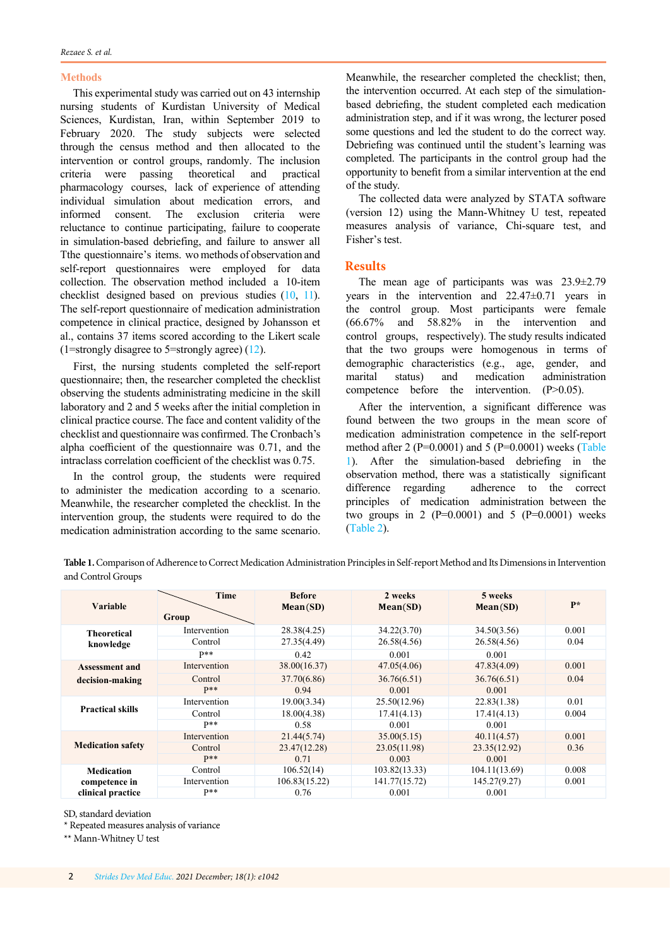## **Methods**

This experimental study was carried out on 43 internship nursing students of Kurdistan University of Medical Sciences, Kurdistan, Iran, within September 2019 to February 2020. The study subjects were selected through the census method and then allocated to the intervention or control groups, randomly. The inclusion criteria were passing theoretical and practical pharmacology courses, lack of experience of attending individual simulation about medication errors, and informed consent. The exclusion criteria were reluctance to continue participating, failure to cooperate in simulation-based debriefing, and failure to answer all Tthe questionnaire's items. wo methods of observation and self-report questionnaires were employed for data collection. The observation method included a 10-item checklist designed based on previous studies ([10,](#page-3-0) [11\)](#page-3-0). The self-report questionnaire of medication administration competence in clinical practice, designed by Johansson et al., contains 37 items scored according to the Likert scale (1=strongly disagree to 5=strongly agree) [\(12\)](#page-3-0).

First, the nursing students completed the self-report questionnaire; then, the researcher completed the checklist observing the students administrating medicine in the skill laboratory and 2 and 5 weeks after the initial completion in clinical practice course. The face and content validity of the checklist and questionnaire was confirmed. The Cronbach's alpha coefficient of the questionnaire was 0.71, and the intraclass correlation coefficient of the checklist was 0.75.

In the control group, the students were required to administer the medication according to a scenario. Meanwhile, the researcher completed the checklist. In the intervention group, the students were required to do the medication administration according to the same scenario. Meanwhile, the researcher completed the checklist; then, the intervention occurred. At each step of the simulationbased debriefing, the student completed each medication administration step, and if it was wrong, the lecturer posed some questions and led the student to do the correct way. Debriefing was continued until the student's learning was completed. The participants in the control group had the opportunity to benefit from a similar intervention at the end of the study.

The collected data were analyzed by STATA software (version 12) using the Mann-Whitney U test, repeated measures analysis of variance, Chi-square test, and Fisher's test.

# **Results**

The mean age of participants was was 23.9±2.79 years in the intervention and 22.47±0.71 years in the control group. Most participants were female (66.67% and 58.82% in the intervention and control groups, respectively). The study results indicated that the two groups were homogenous in terms of demographic characteristics (e.g., age, gender, and marital status) and medication administration competence before the intervention. (P>0.05).

After the intervention, a significant difference was found between the two groups in the mean score of medication administration competence in the self-report method after 2 (P=0.0001) and 5 (P=0.0001) weeks (Table 1). After the simulation-based debriefing in the observation method, there was a statistically significant difference regarding adherence to the correct principles of medication administration between the two groups in 2 ( $P=0.0001$ ) and 5 ( $P=0.0001$ ) weeks ([Table 2\)](#page-2-0).

**Table 1.** Comparison of Adherence to Correct Medication Administration Principles in Self-report Method and Its Dimensions in Intervention and Control Groups

| Variable                                                | Time<br>Group | <b>Before</b><br>Mean(SD) | 2 weeks<br>Mean(SD) | 5 weeks<br>Mean(SD) | $\mathbf{p} *$ |
|---------------------------------------------------------|---------------|---------------------------|---------------------|---------------------|----------------|
| <b>Theoretical</b><br>knowledge                         | Intervention  | 28.38(4.25)               | 34.22(3.70)         | 34.50(3.56)         | 0.001          |
|                                                         | Control       | 27.35(4.49)               | 26.58(4.56)         | 26.58(4.56)         | 0.04           |
|                                                         | $P**$         | 0.42                      | 0.001               | 0.001               |                |
| <b>Assessment and</b><br>decision-making                | Intervention  | 38.00(16.37)              | 47.05(4.06)         | 47.83(4.09)         | 0.001          |
|                                                         | Control       | 37.70(6.86)               | 36.76(6.51)         | 36.76(6.51)         | 0.04           |
|                                                         | $P**$         | 0.94                      | 0.001               | 0.001               |                |
| <b>Practical skills</b>                                 | Intervention  | 19.00(3.34)               | 25.50(12.96)        | 22.83(1.38)         | 0.01           |
|                                                         | Control       | 18.00(4.38)               | 17.41(4.13)         | 17.41(4.13)         | 0.004          |
|                                                         | $p**$         | 0.58                      | 0.001               | 0.001               |                |
| <b>Medication safety</b>                                | Intervention  | 21.44(5.74)               | 35.00(5.15)         | 40.11(4.57)         | 0.001          |
|                                                         | Control       | 23.47(12.28)              | 23.05(11.98)        | 23.35(12.92)        | 0.36           |
|                                                         | $P**$         | 0.71                      | 0.003               | 0.001               |                |
| <b>Medication</b><br>competence in<br>clinical practice | Control       | 106.52(14)                | 103.82(13.33)       | 104.11(13.69)       | 0.008          |
|                                                         | Intervention  | 106.83(15.22)             | 141.77(15.72)       | 145.27(9.27)        | 0.001          |
|                                                         | $P**$         | 0.76                      | 0.001               | 0.001               |                |

SD, standard deviation

\* Repeated measures analysis of variance

\*\* Mann-Whitney U test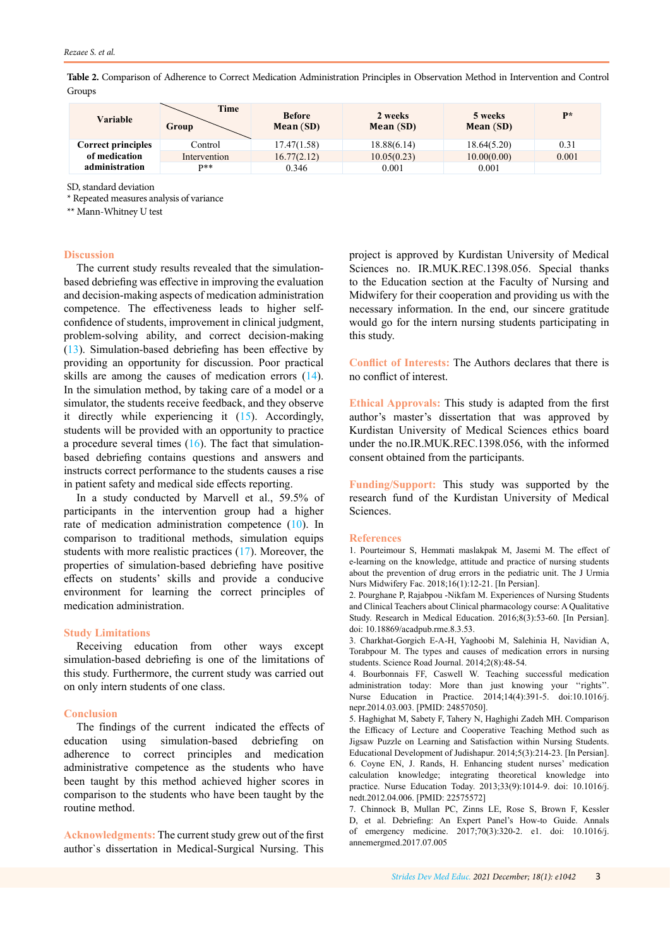<span id="page-2-0"></span>**Table 2.** Comparison of Adherence to Correct Medication Administration Principles in Observation Method in Intervention and Control Groups

| Variable                  | Time<br>Group | <b>Before</b><br>Mean (SD) | 2 weeks<br>Mean (SD) | 5 weeks<br>Mean (SD) | $P*$  |
|---------------------------|---------------|----------------------------|----------------------|----------------------|-------|
| <b>Correct principles</b> | Control       | 17.47(1.58)                | 18.88(6.14)          | 18.64(5.20)          | 0.31  |
| of medication             | Intervention  | 16.77(2.12)                | 10.05(0.23)          | 10.00(0.00)          | 0.001 |
| administration            | $D**$         | 0.346                      | 0.001                | 0.001                |       |

SD, standard deviation

\* Repeated measures analysis of variance

\*\* Mann-Whitney U test

#### **Discussion**

The current study results revealed that the simulationbased debriefing was effective in improving the evaluation and decision-making aspects of medication administration competence. The effectiveness leads to higher selfconfidence of students, improvement in clinical judgment, problem-solving ability, and correct decision-making [\(13](#page-3-0)). Simulation-based debriefing has been effective by providing an opportunity for discussion. Poor practical skills are among the causes of medication errors ([14\)](#page-3-0). In the simulation method, by taking care of a model or a simulator, the students receive feedback, and they observe it directly while experiencing it [\(15](#page-3-0)). Accordingly, students will be provided with an opportunity to practice a procedure several times  $(16)$  $(16)$ . The fact that simulationbased debriefing contains questions and answers and instructs correct performance to the students causes a rise in patient safety and medical side effects reporting.

In a study conducted by Marvell et al., 59.5% of participants in the intervention group had a higher rate of medication administration competence ([10\)](#page-3-0). In comparison to traditional methods, simulation equips students with more realistic practices [\(17](#page-3-0)). Moreover, the properties of simulation-based debriefing have positive effects on students' skills and provide a conducive environment for learning the correct principles of medication administration.

### **Study Limitations**

Receiving education from other ways except simulation-based debriefing is one of the limitations of this study. Furthermore, the current study was carried out on only intern students of one class.

#### **Conclusion**

The findings of the current indicated the effects of education using simulation-based debriefing on adherence to correct principles and medication administrative competence as the students who have been taught by this method achieved higher scores in comparison to the students who have been taught by the routine method.

**Acknowledgments:** The current study grew out of the first author`s dissertation in Medical-Surgical Nursing. This

project is approved by Kurdistan University of Medical Sciences no. IR.MUK.REC.1398.056. Special thanks to the Education section at the Faculty of Nursing and Midwifery for their cooperation and providing us with the necessary information. In the end, our sincere gratitude would go for the intern nursing students participating in this study.

**Conflict of Interests:** The Authors declares that there is no conflict of interest.

**Ethical Approvals:** This study is adapted from the first author's master's dissertation that was approved by Kurdistan University of Medical Sciences ethics board under the no.IR.MUK.REC.1398.056, with the informed consent obtained from the participants.

**Funding/Support:** This study was supported by the research fund of the Kurdistan University of Medical Sciences.

#### **References**

1. Pourteimour S, Hemmati maslakpak M, Jasemi M. The effect of e-learning on the knowledge, attitude and practice of nursing students about the prevention of drug errors in the pediatric unit. The J Urmia Nurs Midwifery Fac. 2018;16(1):12-21. [In Persian].

2. Pourghane P, Rajabpou -Nikfam M. Experiences of Nursing Students and Clinical Teachers about Clinical pharmacology course: A Qualitative Study. Research in Medical Education. 2016;8(3):53-60. [In Persian]. doi: 10.18869/acadpub.rme.8.3.53.

3. Charkhat-Gorgich E-A-H, Yaghoobi M, Salehinia H, Navidian A, Torabpour M. The types and causes of medication errors in nursing students. Science Road Journal. 2014;2(8):48-54.

4. Bourbonnais FF, Caswell W. Teaching successful medication administration today: More than just knowing your "rights". Nurse Education in Practice. 2014;14(4):391-5. doi:10.1016/j. nepr.2014.03.003. [PMID: 24857050].

5. Haghighat M, Sabety F, Tahery N, Haghighi Zadeh MH. Comparison the Efficacy of Lecture and Cooperative Teaching Method such as Jigsaw Puzzle on Learning and Satisfaction within Nursing Students. Educational Development of Judishapur. 2014;5(3):214-23. [In Persian]. 6. Coyne EN, J. Rands, H. Enhancing student nurses' medication calculation knowledge; integrating theoretical knowledge into practice. Nurse Education Today. 2013;33(9):1014-9. doi: 10.1016/j. nedt.2012.04.006. [PMID: 22575572]

7. Chinnock B, Mullan PC, Zinns LE, Rose S, Brown F, Kessler D, et al. Debriefing: An Expert Panel's How-to Guide. Annals of emergency medicine. 2017;70(3):320-2. e1. doi: 10.1016/j. annemergmed.2017.07.005